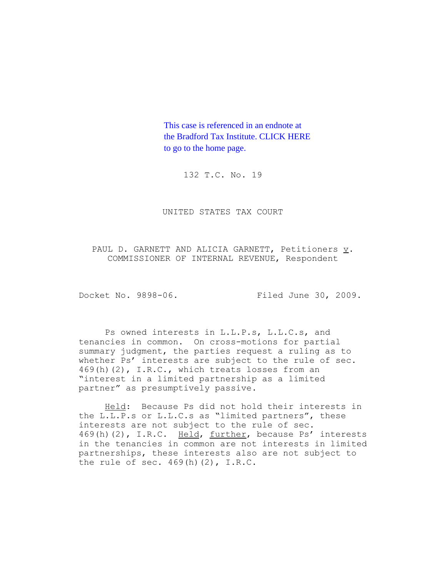This case is referenced in an endnote at [the Bradford Tax Institute. CLICK HERE](http://www.bradfordtaxinstitute.com/) to go to the home page.

132 T.C. No. 19

UNITED STATES TAX COURT

PAUL D. GARNETT AND ALICIA GARNETT, Petitioners v. COMMISSIONER OF INTERNAL REVENUE, Respondent

Docket No. 9898-06. Filed June 30, 2009.

Ps owned interests in L.L.P.s, L.L.C.s, and tenancies in common. On cross-motions for partial summary judgment, the parties request a ruling as to whether Ps' interests are subject to the rule of sec. 469(h)(2), I.R.C., which treats losses from an "interest in a limited partnership as a limited partner" as presumptively passive.

Held: Because Ps did not hold their interests in the L.L.P.s or L.L.C.s as "limited partners", these interests are not subject to the rule of sec. 469(h)(2), I.R.C. Held, further, because Ps' interests in the tenancies in common are not interests in limited partnerships, these interests also are not subject to the rule of sec.  $469(h)(2)$ , I.R.C.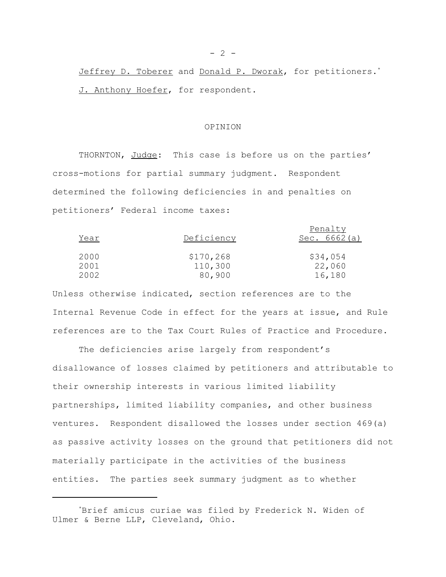Jeffrey D. Toberer and Donald P. Dworak, for petitioners.<sup>\*</sup> J. Anthony Hoefer, for respondent.

#### OPINION

THORNTON, Judge: This case is before us on the parties' cross-motions for partial summary judgment. Respondent determined the following deficiencies in and penalties on petitioners' Federal income taxes:

| Year         | Deficiency           | Penalty<br>Sec. $6662(a)$ |
|--------------|----------------------|---------------------------|
| 2000<br>2001 | \$170,268<br>110,300 | \$34,054<br>22,060        |
| 2002         | 80,900               | 16,180                    |

Unless otherwise indicated, section references are to the Internal Revenue Code in effect for the years at issue, and Rule references are to the Tax Court Rules of Practice and Procedure.

The deficiencies arise largely from respondent's disallowance of losses claimed by petitioners and attributable to their ownership interests in various limited liability partnerships, limited liability companies, and other business ventures. Respondent disallowed the losses under section 469(a) as passive activity losses on the ground that petitioners did not materially participate in the activities of the business entities. The parties seek summary judgment as to whether

<sup>\*</sup>Brief amicus curiae was filed by Frederick N. Widen of Ulmer & Berne LLP, Cleveland, Ohio.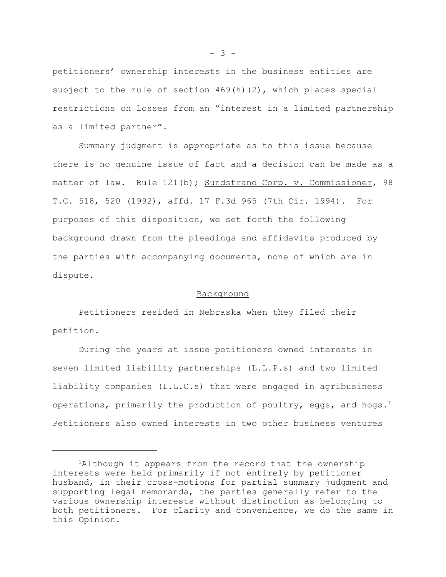petitioners' ownership interests in the business entities are subject to the rule of section  $469(h)(2)$ , which places special restrictions on losses from an "interest in a limited partnership as a limited partner".

Summary judgment is appropriate as to this issue because there is no genuine issue of fact and a decision can be made as a matter of law. Rule 121(b); Sundstrand Corp. v. Commissioner, 98 T.C. 518, 520 (1992), affd. 17 F.3d 965 (7th Cir. 1994). For purposes of this disposition, we set forth the following background drawn from the pleadings and affidavits produced by the parties with accompanying documents, none of which are in dispute.

### Background

Petitioners resided in Nebraska when they filed their petition.

During the years at issue petitioners owned interests in seven limited liability partnerships (L.L.P.s) and two limited liability companies (L.L.C.s) that were engaged in agribusiness operations, primarily the production of poultry, eggs, and hogs.<sup>1</sup> Petitioners also owned interests in two other business ventures

 $- 3 -$ 

<sup>&</sup>lt;sup>1</sup>Although it appears from the record that the ownership interests were held primarily if not entirely by petitioner husband, in their cross-motions for partial summary judgment and supporting legal memoranda, the parties generally refer to the various ownership interests without distinction as belonging to both petitioners. For clarity and convenience, we do the same in this Opinion.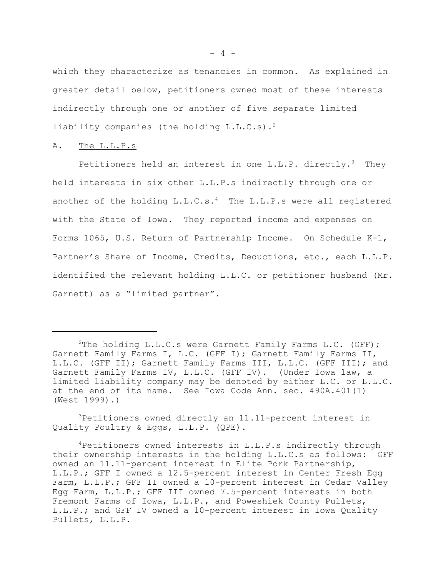which they characterize as tenancies in common. As explained in greater detail below, petitioners owned most of these interests indirectly through one or another of five separate limited liability companies (the holding L.L.C.s).<sup>2</sup>

## A. The L.L.P.s

Petitioners held an interest in one  $L.L.P.$  directly.<sup>3</sup> They held interests in six other L.L.P.s indirectly through one or another of the holding  $L.L.C.s.^4$  The  $L.L.P.s$  were all registered with the State of Iowa. They reported income and expenses on Forms 1065, U.S. Return of Partnership Income. On Schedule K-1, Partner's Share of Income, Credits, Deductions, etc., each L.L.P. identified the relevant holding L.L.C. or petitioner husband (Mr. Garnett) as a "limited partner".

3Petitioners owned directly an 11.11-percent interest in Quality Poultry & Eggs, L.L.P. (QPE).

<sup>&</sup>lt;sup>2</sup>The holding L.L.C.s were Garnett Family Farms L.C. (GFF); Garnett Family Farms I, L.C. (GFF I); Garnett Family Farms II, L.L.C. (GFF II); Garnett Family Farms III, L.L.C. (GFF III); and Garnett Family Farms IV, L.L.C. (GFF IV). (Under Iowa law, a limited liability company may be denoted by either L.C. or L.L.C. at the end of its name. See Iowa Code Ann. sec. 490A.401(1) (West 1999).)

<sup>4</sup>Petitioners owned interests in L.L.P.s indirectly through their ownership interests in the holding L.L.C.s as follows: GFF owned an 11.11-percent interest in Elite Pork Partnership, L.L.P.; GFF I owned a 12.5-percent interest in Center Fresh Egg Farm, L.L.P.; GFF II owned a 10-percent interest in Cedar Valley Egg Farm, L.L.P.; GFF III owned 7.5-percent interests in both Fremont Farms of Iowa, L.L.P., and Poweshiek County Pullets, L.L.P.; and GFF IV owned a 10-percent interest in Iowa Quality Pullets, L.L.P.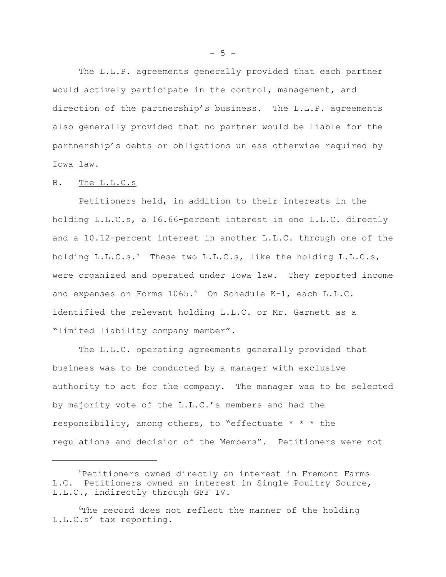The L.L.P. agreements generally provided that each partner would actively participate in the control, management, and direction of the partnership's business. The L.L.P. agreements also generally provided that no partner would be liable for the partnership's debts or obligations unless otherwise required by Iowa law.

#### B. The L.L.C.s

Petitioners held, in addition to their interests in the holding L.L.C.s, a 16.66-percent interest in one L.L.C. directly and a 10.12-percent interest in another L.L.C. through one of the holding  $L.L.C.s.5$  These two  $L.L.C.s.$  like the holding  $L.L.C.s.$ were organized and operated under Iowa law. They reported income and expenses on Forms 1065.<sup>6</sup> On Schedule K-1, each L.L.C. identified the relevant holding L.L.C. or Mr. Garnett as a "limited liability company member".

The L.L.C. operating agreements generally provided that business was to be conducted by a manager with exclusive authority to act for the company. The manager was to be selected by majority vote of the L.L.C.'s members and had the responsibility, among others, to "effectuate \* \* \* the regulations and decision of the Members". Petitioners were not

 $- 5 -$ 

<sup>5</sup>Petitioners owned directly an interest in Fremont Farms L.C. Petitioners owned an interest in Single Poultry Source, L.L.C., indirectly through GFF IV.

<sup>&</sup>lt;sup>6</sup>The record does not reflect the manner of the holding L.L.C.s' tax reporting.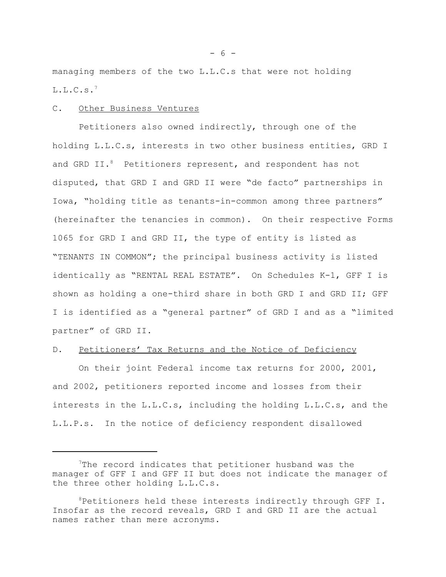managing members of the two L.L.C.s that were not holding  $L.L.C.s.7$ 

### C. Other Business Ventures

Petitioners also owned indirectly, through one of the holding L.L.C.s, interests in two other business entities, GRD I and GRD II.<sup>8</sup> Petitioners represent, and respondent has not disputed, that GRD I and GRD II were "de facto" partnerships in Iowa, "holding title as tenants-in-common among three partners" (hereinafter the tenancies in common). On their respective Forms 1065 for GRD I and GRD II, the type of entity is listed as "TENANTS IN COMMON"; the principal business activity is listed identically as "RENTAL REAL ESTATE". On Schedules K-1, GFF I is shown as holding a one-third share in both GRD I and GRD II; GFF I is identified as a "general partner" of GRD I and as a "limited partner" of GRD II.

## D. Petitioners' Tax Returns and the Notice of Deficiency

On their joint Federal income tax returns for 2000, 2001, and 2002, petitioners reported income and losses from their interests in the L.L.C.s, including the holding L.L.C.s, and the L.L.P.s. In the notice of deficiency respondent disallowed

<sup>&</sup>lt;sup>7</sup>The record indicates that petitioner husband was the manager of GFF I and GFF II but does not indicate the manager of the three other holding L.L.C.s.

<sup>8</sup>Petitioners held these interests indirectly through GFF I. Insofar as the record reveals, GRD I and GRD II are the actual names rather than mere acronyms.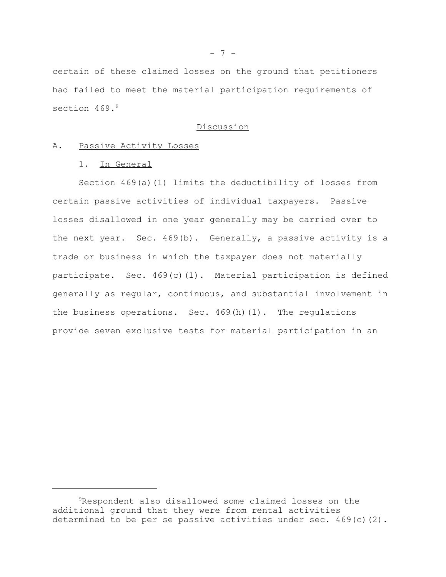certain of these claimed losses on the ground that petitioners had failed to meet the material participation requirements of section 469.<sup>9</sup>

### Discussion

### A. Passive Activity Losses

### 1. In General

Section 469(a)(1) limits the deductibility of losses from certain passive activities of individual taxpayers. Passive losses disallowed in one year generally may be carried over to the next year. Sec. 469(b). Generally, a passive activity is a trade or business in which the taxpayer does not materially participate. Sec. 469(c)(1). Material participation is defined generally as regular, continuous, and substantial involvement in the business operations. Sec. 469(h)(1). The regulations provide seven exclusive tests for material participation in an

<sup>9</sup>Respondent also disallowed some claimed losses on the additional ground that they were from rental activities determined to be per se passive activities under sec. 469(c)(2).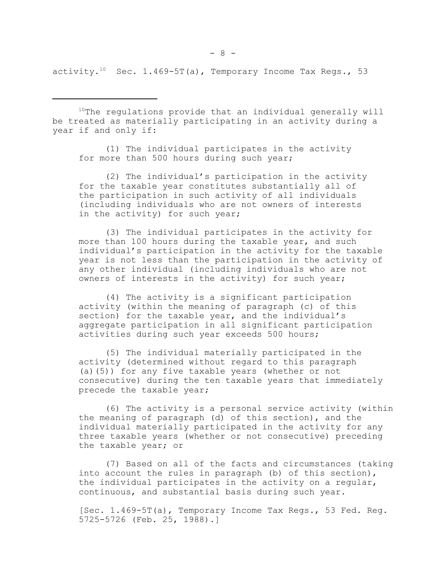activity.<sup>10</sup> Sec. 1.469-5T(a), Temporary Income Tax Regs., 53

 $10$ The regulations provide that an individual generally will be treated as materially participating in an activity during a year if and only if:

(1) The individual participates in the activity for more than 500 hours during such year;

(2) The individual's participation in the activity for the taxable year constitutes substantially all of the participation in such activity of all individuals (including individuals who are not owners of interests in the activity) for such year;

(3) The individual participates in the activity for more than 100 hours during the taxable year, and such individual's participation in the activity for the taxable year is not less than the participation in the activity of any other individual (including individuals who are not owners of interests in the activity) for such year;

(4) The activity is a significant participation activity (within the meaning of paragraph (c) of this section) for the taxable year, and the individual's aggregate participation in all significant participation activities during such year exceeds 500 hours;

(5) The individual materially participated in the activity (determined without regard to this paragraph (a)(5)) for any five taxable years (whether or not consecutive) during the ten taxable years that immediately precede the taxable year;

(6) The activity is a personal service activity (within the meaning of paragraph (d) of this section), and the individual materially participated in the activity for any three taxable years (whether or not consecutive) preceding the taxable year; or

(7) Based on all of the facts and circumstances (taking into account the rules in paragraph (b) of this section), the individual participates in the activity on a regular, continuous, and substantial basis during such year.

[Sec. 1.469-5T(a), Temporary Income Tax Regs., 53 Fed. Reg. 5725-5726 (Feb. 25, 1988).]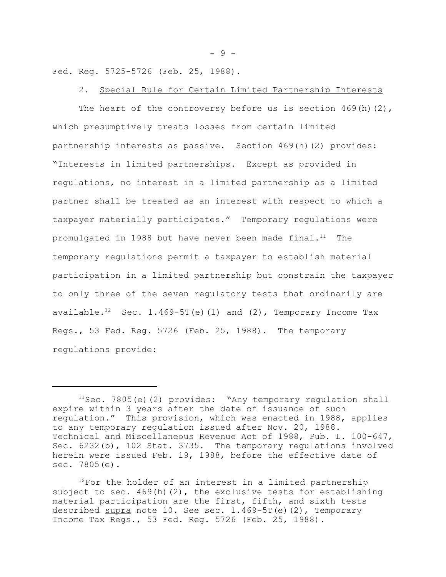Fed. Reg. 5725-5726 (Feb. 25, 1988).

## 2. Special Rule for Certain Limited Partnership Interests

The heart of the controversy before us is section  $469(h)(2)$ , which presumptively treats losses from certain limited partnership interests as passive. Section 469(h)(2) provides: "Interests in limited partnerships. Except as provided in regulations, no interest in a limited partnership as a limited partner shall be treated as an interest with respect to which a taxpayer materially participates." Temporary regulations were promulgated in 1988 but have never been made final. $11$  The temporary regulations permit a taxpayer to establish material participation in a limited partnership but constrain the taxpayer to only three of the seven regulatory tests that ordinarily are available.<sup>12</sup> Sec. 1.469-5T(e)(1) and (2), Temporary Income Tax Regs., 53 Fed. Reg. 5726 (Feb. 25, 1988). The temporary regulations provide:

 $-9 -$ 

 $11$ Sec. 7805(e)(2) provides: "Any temporary regulation shall expire within 3 years after the date of issuance of such regulation." This provision, which was enacted in 1988, applies to any temporary regulation issued after Nov. 20, 1988. Technical and Miscellaneous Revenue Act of 1988, Pub. L. 100-647, Sec. 6232(b), 102 Stat. 3735. The temporary regulations involved herein were issued Feb. 19, 1988, before the effective date of sec. 7805(e).

 $12$ For the holder of an interest in a limited partnership subject to sec. 469(h)(2), the exclusive tests for establishing material participation are the first, fifth, and sixth tests described supra note 10. See sec. 1.469-5T(e)(2), Temporary Income Tax Regs., 53 Fed. Reg. 5726 (Feb. 25, 1988).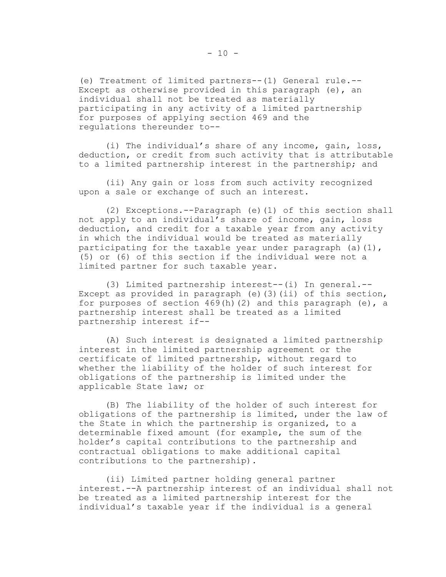(e) Treatment of limited partners--(1) General rule.-- Except as otherwise provided in this paragraph (e), an individual shall not be treated as materially participating in any activity of a limited partnership for purposes of applying section 469 and the regulations thereunder to--

(i) The individual's share of any income, gain, loss, deduction, or credit from such activity that is attributable to a limited partnership interest in the partnership; and

(ii) Any gain or loss from such activity recognized upon a sale or exchange of such an interest.

(2) Exceptions.--Paragraph (e)(1) of this section shall not apply to an individual's share of income, gain, loss deduction, and credit for a taxable year from any activity in which the individual would be treated as materially participating for the taxable year under paragraph  $(a)(1)$ , (5) or (6) of this section if the individual were not a limited partner for such taxable year.

(3) Limited partnership interest--(i) In general.-- Except as provided in paragraph (e)(3)(ii) of this section, for purposes of section  $469(h)(2)$  and this paragraph (e), a partnership interest shall be treated as a limited partnership interest if--

(A) Such interest is designated a limited partnership interest in the limited partnership agreement or the certificate of limited partnership, without regard to whether the liability of the holder of such interest for obligations of the partnership is limited under the applicable State law; or

(B) The liability of the holder of such interest for obligations of the partnership is limited, under the law of the State in which the partnership is organized, to a determinable fixed amount (for example, the sum of the holder's capital contributions to the partnership and contractual obligations to make additional capital contributions to the partnership).

(ii) Limited partner holding general partner interest.--A partnership interest of an individual shall not be treated as a limited partnership interest for the individual's taxable year if the individual is a general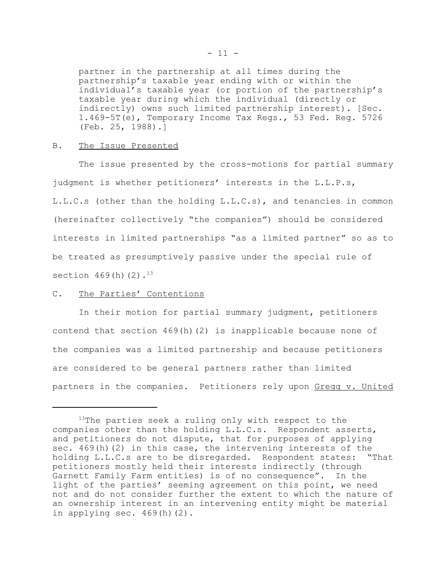partner in the partnership at all times during the partnership's taxable year ending with or within the individual's taxable year (or portion of the partnership's taxable year during which the individual (directly or indirectly) owns such limited partnership interest). [Sec. 1.469-5T(e), Temporary Income Tax Regs., 53 Fed. Reg. 5726 (Feb. 25, 1988).]

#### B. The Issue Presented

The issue presented by the cross-motions for partial summary judgment is whether petitioners' interests in the L.L.P.s, L.L.C.s (other than the holding L.L.C.s), and tenancies in common (hereinafter collectively "the companies") should be considered interests in limited partnerships "as a limited partner" so as to be treated as presumptively passive under the special rule of section  $469(h)(2)$ .<sup>13</sup>

### C. The Parties' Contentions

In their motion for partial summary judgment, petitioners contend that section 469(h)(2) is inapplicable because none of the companies was a limited partnership and because petitioners are considered to be general partners rather than limited partners in the companies. Petitioners rely upon Gregg v. United

 $13$ The parties seek a ruling only with respect to the companies other than the holding L.L.C.s. Respondent asserts, and petitioners do not dispute, that for purposes of applying sec. 469(h)(2) in this case, the intervening interests of the holding L.L.C.s are to be disregarded. Respondent states: "That petitioners mostly held their interests indirectly (through Garnett Family Farm entities) is of no consequence". In the light of the parties' seeming agreement on this point, we need not and do not consider further the extent to which the nature of an ownership interest in an intervening entity might be material in applying sec.  $469(h)(2)$ .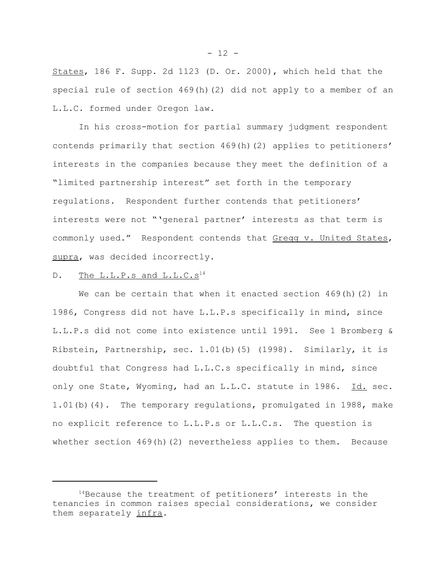States, 186 F. Supp. 2d 1123 (D. Or. 2000), which held that the special rule of section 469(h)(2) did not apply to a member of an L.L.C. formed under Oregon law.

In his cross-motion for partial summary judgment respondent contends primarily that section 469(h)(2) applies to petitioners' interests in the companies because they meet the definition of a "limited partnership interest" set forth in the temporary regulations. Respondent further contends that petitioners' interests were not "'general partner' interests as that term is commonly used." Respondent contends that Gregg v. United States, supra, was decided incorrectly.

# D. The L.L.P.s and L.L.C.s<sup>14</sup>

We can be certain that when it enacted section  $469(h)(2)$  in 1986, Congress did not have L.L.P.s specifically in mind, since L.L.P.s did not come into existence until 1991. See 1 Bromberg & Ribstein, Partnership, sec. 1.01(b)(5) (1998). Similarly, it is doubtful that Congress had L.L.C.s specifically in mind, since only one State, Wyoming, had an L.L.C. statute in 1986. Id. sec. 1.01(b)(4). The temporary regulations, promulgated in 1988, make no explicit reference to L.L.P.s or L.L.C.s. The question is whether section  $469(h)(2)$  nevertheless applies to them. Because

 $- 12 -$ 

<sup>&</sup>lt;sup>14</sup>Because the treatment of petitioners' interests in the tenancies in common raises special considerations, we consider them separately infra.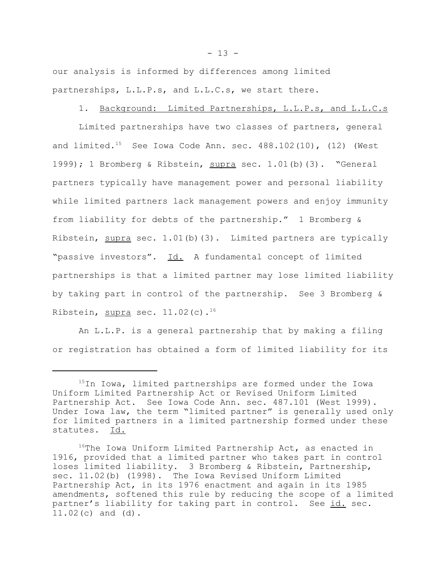our analysis is informed by differences among limited partnerships, L.L.P.s, and L.L.C.s, we start there.

### 1. Background: Limited Partnerships, L.L.P.s, and L.L.C.s

Limited partnerships have two classes of partners, general and limited.<sup>15</sup> See Iowa Code Ann. sec.  $488.102(10)$ ,  $(12)$  (West 1999); 1 Bromberg & Ribstein, supra sec. 1.01(b)(3). "General partners typically have management power and personal liability while limited partners lack management powers and enjoy immunity from liability for debts of the partnership." 1 Bromberg & Ribstein,  $\frac{\text{supra}}{\text{sec. 1.01(b)(3)}}$ . Limited partners are typically "passive investors". Id. A fundamental concept of limited partnerships is that a limited partner may lose limited liability by taking part in control of the partnership. See 3 Bromberg & Ribstein, supra sec.  $11.02(c)$ .<sup>16</sup>

An L.L.P. is a general partnership that by making a filing or registration has obtained a form of limited liability for its

<sup>&</sup>lt;sup>15</sup>In Iowa, limited partnerships are formed under the Iowa Uniform Limited Partnership Act or Revised Uniform Limited Partnership Act. See Iowa Code Ann. sec. 487.101 (West 1999). Under Iowa law, the term "limited partner" is generally used only for limited partners in a limited partnership formed under these statutes. Id.

<sup>&</sup>lt;sup>16</sup>The Iowa Uniform Limited Partnership Act, as enacted in 1916, provided that a limited partner who takes part in control loses limited liability. 3 Bromberg & Ribstein, Partnership, sec. 11.02(b) (1998). The Iowa Revised Uniform Limited Partnership Act, in its 1976 enactment and again in its 1985 amendments, softened this rule by reducing the scope of a limited partner's liability for taking part in control. See id. sec. 11.02(c) and (d).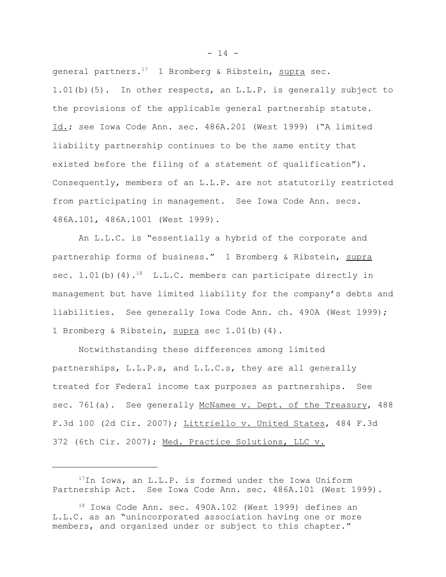general partners.<sup>17</sup> 1 Bromberg & Ribstein, supra sec. 1.01(b)(5). In other respects, an L.L.P. is generally subject to the provisions of the applicable general partnership statute. Id.; see Iowa Code Ann. sec. 486A.201 (West 1999) ('A limited liability partnership continues to be the same entity that existed before the filing of a statement of qualification"). Consequently, members of an L.L.P. are not statutorily restricted from participating in management. See Iowa Code Ann. secs. 486A.101, 486A.1001 (West 1999).

An L.L.C. is "essentially a hybrid of the corporate and partnership forms of business." 1 Bromberg & Ribstein, supra sec.  $1.01(b)$  (4).<sup>18</sup> L.L.C. members can participate directly in management but have limited liability for the company's debts and liabilities. See generally Iowa Code Ann. ch. 490A (West 1999); 1 Bromberg & Ribstein, supra sec 1.01(b)(4).

Notwithstanding these differences among limited partnerships, L.L.P.s, and L.L.C.s, they are all generally treated for Federal income tax purposes as partnerships. See sec. 761(a). See generally McNamee v. Dept. of the Treasury, 488 F.3d 100 (2d Cir. 2007); Littriello v. United States, 484 F.3d 372 (6th Cir. 2007); Med. Practice Solutions, LLC v.

 $- 14 -$ 

<sup>17</sup>In Iowa, an L.L.P. is formed under the Iowa Uniform Partnership Act. See Iowa Code Ann. sec. 486A.101 (West 1999).

<sup>18</sup> Iowa Code Ann. sec. 490A.102 (West 1999) defines an L.L.C. as an "unincorporated association having one or more members, and organized under or subject to this chapter."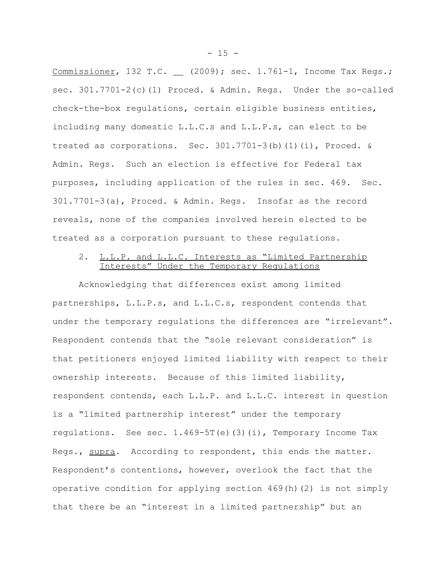Commissioner, 132 T.C. \_ (2009); sec. 1.761-1, Income Tax Regs.; sec. 301.7701-2(c)(1) Proced. & Admin. Regs. Under the so-called check-the-box regulations, certain eligible business entities, including many domestic L.L.C.s and L.L.P.s, can elect to be treated as corporations. Sec.  $301.7701-3(b)(1)(i)$ , Proced. & Admin. Regs. Such an election is effective for Federal tax purposes, including application of the rules in sec. 469. Sec. 301.7701-3(a), Proced. & Admin. Regs. Insofar as the record reveals, none of the companies involved herein elected to be treated as a corporation pursuant to these regulations.

# 2. L.L.P. and L.L.C. Interests as "Limited Partnership Interests" Under the Temporary Regulations

Acknowledging that differences exist among limited partnerships, L.L.P.s, and L.L.C.s, respondent contends that under the temporary regulations the differences are "irrelevant". Respondent contends that the "sole relevant consideration" is that petitioners enjoyed limited liability with respect to their ownership interests. Because of this limited liability, respondent contends, each L.L.P. and L.L.C. interest in question is a "limited partnership interest" under the temporary regulations. See sec.  $1.469-5T(e)(3)(i)$ , Temporary Income Tax Regs., supra. According to respondent, this ends the matter. Respondent's contentions, however, overlook the fact that the operative condition for applying section 469(h)(2) is not simply that there be an "interest in a limited partnership" but an

 $- 15 -$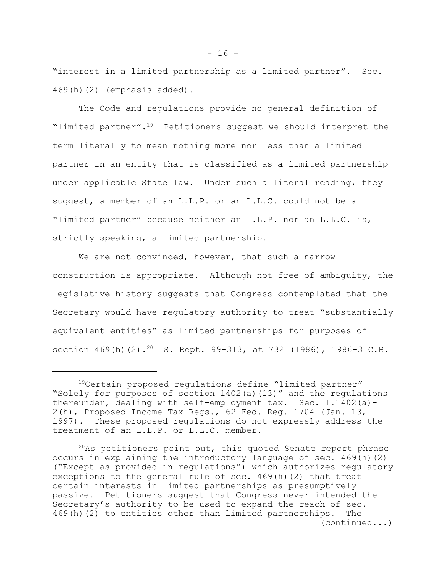"interest in a limited partnership as a limited partner". Sec. 469(h)(2) (emphasis added).

The Code and regulations provide no general definition of "limited partner".<sup>19</sup> Petitioners suggest we should interpret the term literally to mean nothing more nor less than a limited partner in an entity that is classified as a limited partnership under applicable State law. Under such a literal reading, they suggest, a member of an L.L.P. or an L.L.C. could not be a "limited partner" because neither an L.L.P. nor an L.L.C. is, strictly speaking, a limited partnership.

We are not convinced, however, that such a narrow construction is appropriate. Although not free of ambiguity, the legislative history suggests that Congress contemplated that the Secretary would have regulatory authority to treat "substantially equivalent entities" as limited partnerships for purposes of section 469(h)(2).<sup>20</sup> S. Rept. 99-313, at 732 (1986), 1986-3 C.B.

<sup>19</sup>Certain proposed regulations define "limited partner" "Solely for purposes of section 1402(a)(13)" and the regulations thereunder, dealing with self-employment tax. Sec. 1.1402(a)- 2(h), Proposed Income Tax Regs., 62 Fed. Reg. 1704 (Jan. 13, 1997). These proposed regulations do not expressly address the treatment of an L.L.P. or L.L.C. member.

 $20$ As petitioners point out, this quoted Senate report phrase occurs in explaining the introductory language of sec. 469(h)(2) ("Except as provided in regulations") which authorizes regulatory exceptions to the general rule of sec. 469(h)(2) that treat certain interests in limited partnerships as presumptively passive. Petitioners suggest that Congress never intended the Secretary's authority to be used to expand the reach of sec. 469(h)(2) to entities other than limited partnerships. The (continued...)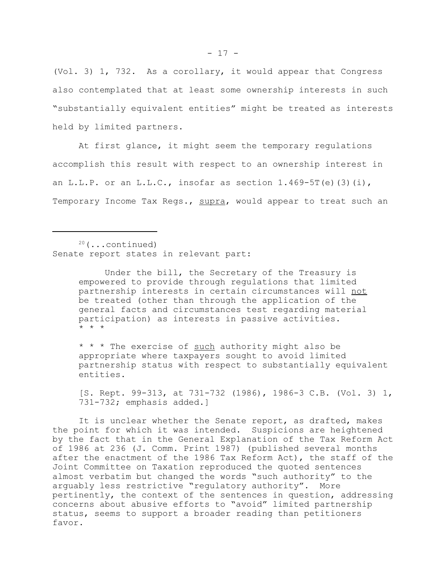(Vol. 3) 1, 732. As a corollary, it would appear that Congress also contemplated that at least some ownership interests in such "substantially equivalent entities" might be treated as interests held by limited partners.

At first glance, it might seem the temporary regulations accomplish this result with respect to an ownership interest in an L.L.P. or an L.L.C., insofar as section  $1.469-5T(e)$  (3)(i), Temporary Income Tax Regs., supra, would appear to treat such an

 $20$  (...continued) Senate report states in relevant part:

> Under the bill, the Secretary of the Treasury is empowered to provide through regulations that limited partnership interests in certain circumstances will not be treated (other than through the application of the general facts and circumstances test regarding material participation) as interests in passive activities. \* \* \*

\* \* \* The exercise of such authority might also be appropriate where taxpayers sought to avoid limited partnership status with respect to substantially equivalent entities.

[S. Rept. 99-313, at 731-732 (1986), 1986-3 C.B. (Vol. 3) 1, 731-732; emphasis added.]

It is unclear whether the Senate report, as drafted, makes the point for which it was intended. Suspicions are heightened by the fact that in the General Explanation of the Tax Reform Act of 1986 at 236 (J. Comm. Print 1987) (published several months after the enactment of the 1986 Tax Reform Act), the staff of the Joint Committee on Taxation reproduced the quoted sentences almost verbatim but changed the words "such authority" to the arguably less restrictive "regulatory authority". More pertinently, the context of the sentences in question, addressing concerns about abusive efforts to "avoid" limited partnership status, seems to support a broader reading than petitioners favor.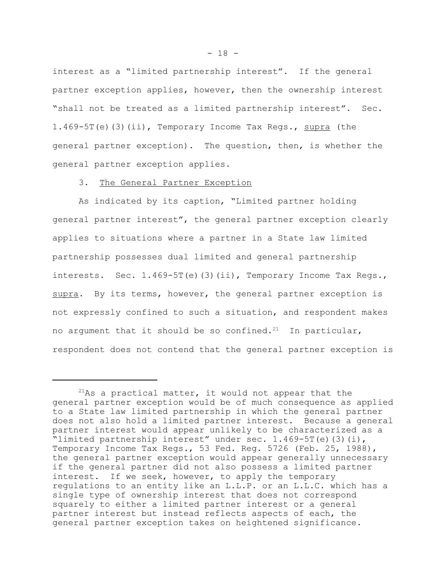interest as a "limited partnership interest". If the general partner exception applies, however, then the ownership interest "shall not be treated as a limited partnership interest". Sec. 1.469-5T(e)(3)(ii), Temporary Income Tax Regs.,  $\frac{\text{supra}}{\text{the}}$  (the general partner exception). The question, then, is whether the general partner exception applies.

#### 3. The General Partner Exception

As indicated by its caption, "Limited partner holding general partner interest", the general partner exception clearly applies to situations where a partner in a State law limited partnership possesses dual limited and general partnership interests. Sec.  $1.469 - 5T(e)(3)(ii)$ , Temporary Income Tax Regs., supra. By its terms, however, the general partner exception is not expressly confined to such a situation, and respondent makes no argument that it should be so confined.<sup>21</sup> In particular, respondent does not contend that the general partner exception is

 $21$ As a practical matter, it would not appear that the general partner exception would be of much consequence as applied to a State law limited partnership in which the general partner does not also hold a limited partner interest. Because a general partner interest would appear unlikely to be characterized as a "limited partnership interest" under sec. 1.469-5T(e)(3)(i), Temporary Income Tax Regs., 53 Fed. Reg. 5726 (Feb. 25, 1988), the general partner exception would appear generally unnecessary if the general partner did not also possess a limited partner interest. If we seek, however, to apply the temporary regulations to an entity like an L.L.P. or an L.L.C. which has a single type of ownership interest that does not correspond squarely to either a limited partner interest or a general partner interest but instead reflects aspects of each, the general partner exception takes on heightened significance.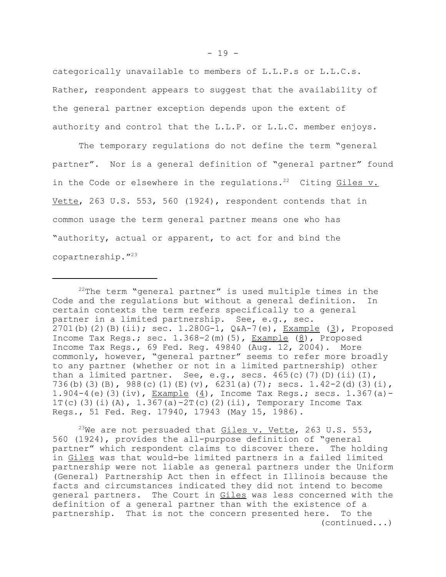categorically unavailable to members of L.L.P.s or L.L.C.s. Rather, respondent appears to suggest that the availability of the general partner exception depends upon the extent of authority and control that the L.L.P. or L.L.C. member enjoys.

The temporary regulations do not define the term "general partner". Nor is a general definition of "general partner" found in the Code or elsewhere in the regulations.<sup>22</sup> Citing  $Giles$  v. Vette, 263 U.S. 553, 560 (1924), respondent contends that in common usage the term general partner means one who has "authority, actual or apparent, to act for and bind the copartnership."23

<sup>23</sup>We are not persuaded that  $Giles$  v. Vette, 263 U.S. 553, 560 (1924), provides the all-purpose definition of "general partner" which respondent claims to discover there. The holding in Giles was that would-be limited partners in a failed limited partnership were not liable as general partners under the Uniform (General) Partnership Act then in effect in Illinois because the facts and circumstances indicated they did not intend to become general partners. The Court in Giles was less concerned with the definition of a general partner than with the existence of a partnership. That is not the concern presented here. To the (continued...)

 $22$ The term "general partner" is used multiple times in the Code and the regulations but without a general definition. In certain contexts the term refers specifically to a general partner in a limited partnership. See, e.g., sec. 2701(b)(2)(B)(ii); sec. 1.280G-1,  $Q&A-7(e)$ , Example (3), Proposed Income Tax Regs.; sec.  $1.368-2$  (m)  $(5)$ , Example  $(8)$ , Proposed Income Tax Regs., 69 Fed. Reg. 49840 (Aug. 12, 2004). More commonly, however, "general partner" seems to refer more broadly to any partner (whether or not in a limited partnership) other than a limited partner. See, e.g., secs.  $465(c)$  (7)(D)(ii)(I), 736(b)(3)(B), 988(c)(1)(E)(v), 6231(a)(7); secs. 1.42-2(d)(3)(i), 1.904-4(e)(3)(iv), Example (4), Income Tax Regs.; secs.  $1.367(a)$ -1T(c)(3)(i)(A),  $1.367(a) - 2T(c)$ (2)(ii), Temporary Income Tax Regs., 51 Fed. Reg. 17940, 17943 (May 15, 1986).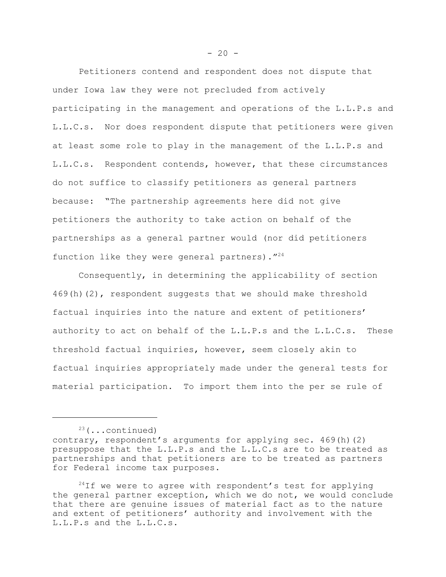Petitioners contend and respondent does not dispute that under Iowa law they were not precluded from actively participating in the management and operations of the L.L.P.s and L.L.C.s. Nor does respondent dispute that petitioners were given at least some role to play in the management of the L.L.P.s and L.L.C.s. Respondent contends, however, that these circumstances do not suffice to classify petitioners as general partners because: "The partnership agreements here did not give petitioners the authority to take action on behalf of the partnerships as a general partner would (nor did petitioners function like they were general partners). "24

Consequently, in determining the applicability of section 469(h)(2), respondent suggests that we should make threshold factual inquiries into the nature and extent of petitioners' authority to act on behalf of the L.L.P.s and the L.L.C.s. These threshold factual inquiries, however, seem closely akin to factual inquiries appropriately made under the general tests for material participation. To import them into the per se rule of

 $23$  (...continued)

contrary, respondent's arguments for applying sec. 469(h)(2) presuppose that the L.L.P.s and the L.L.C.s are to be treated as partnerships and that petitioners are to be treated as partners for Federal income tax purposes.

 $24$ If we were to agree with respondent's test for applying the general partner exception, which we do not, we would conclude that there are genuine issues of material fact as to the nature and extent of petitioners' authority and involvement with the L.L.P.s and the L.L.C.s.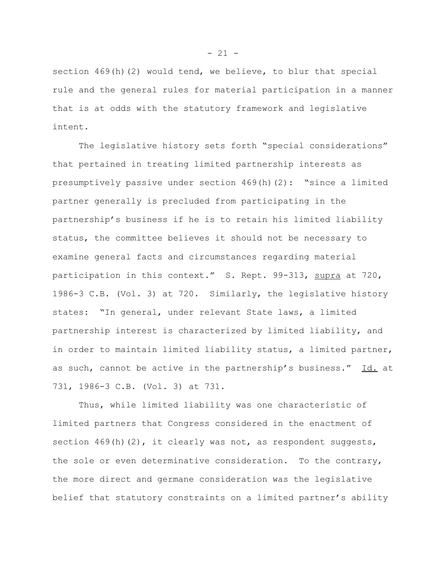section  $469(h)(2)$  would tend, we believe, to blur that special rule and the general rules for material participation in a manner that is at odds with the statutory framework and legislative intent.

The legislative history sets forth "special considerations" that pertained in treating limited partnership interests as presumptively passive under section 469(h)(2): "since a limited partner generally is precluded from participating in the partnership's business if he is to retain his limited liability status, the committee believes it should not be necessary to examine general facts and circumstances regarding material participation in this context." S. Rept. 99-313, supra at 720, 1986-3 C.B. (Vol. 3) at 720. Similarly, the legislative history states: "In general, under relevant State laws, a limited partnership interest is characterized by limited liability, and in order to maintain limited liability status, a limited partner, as such, cannot be active in the partnership's business." Id. at 731, 1986-3 C.B. (Vol. 3) at 731.

Thus, while limited liability was one characteristic of limited partners that Congress considered in the enactment of section  $469(h)(2)$ , it clearly was not, as respondent suggests, the sole or even determinative consideration. To the contrary, the more direct and germane consideration was the legislative belief that statutory constraints on a limited partner's ability

 $- 21 -$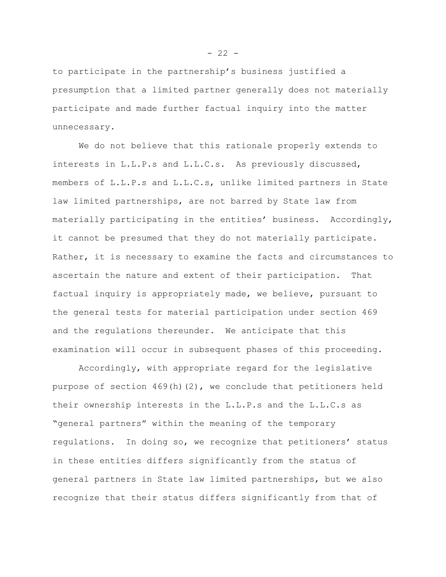to participate in the partnership's business justified a presumption that a limited partner generally does not materially participate and made further factual inquiry into the matter unnecessary.

We do not believe that this rationale properly extends to interests in L.L.P.s and L.L.C.s. As previously discussed, members of L.L.P.s and L.L.C.s, unlike limited partners in State law limited partnerships, are not barred by State law from materially participating in the entities' business. Accordingly, it cannot be presumed that they do not materially participate. Rather, it is necessary to examine the facts and circumstances to ascertain the nature and extent of their participation. That factual inquiry is appropriately made, we believe, pursuant to the general tests for material participation under section 469 and the regulations thereunder. We anticipate that this examination will occur in subsequent phases of this proceeding.

Accordingly, with appropriate regard for the legislative purpose of section  $469(h)(2)$ , we conclude that petitioners held their ownership interests in the L.L.P.s and the L.L.C.s as "general partners" within the meaning of the temporary regulations. In doing so, we recognize that petitioners' status in these entities differs significantly from the status of general partners in State law limited partnerships, but we also recognize that their status differs significantly from that of

 $- 22 -$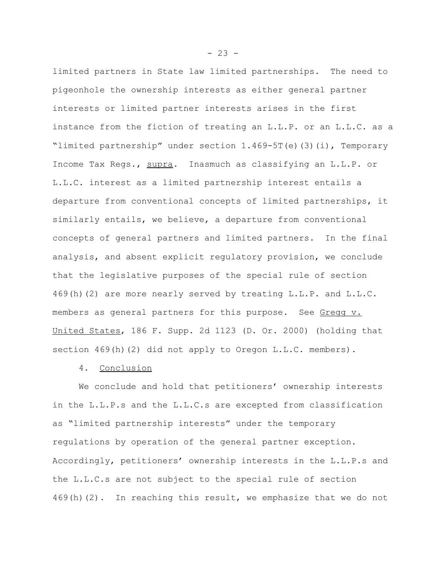limited partners in State law limited partnerships. The need to pigeonhole the ownership interests as either general partner interests or limited partner interests arises in the first instance from the fiction of treating an L.L.P. or an L.L.C. as a "limited partnership" under section 1.469-5T(e)(3)(i), Temporary Income Tax Regs., supra. Inasmuch as classifying an L.L.P. or L.L.C. interest as a limited partnership interest entails a departure from conventional concepts of limited partnerships, it similarly entails, we believe, a departure from conventional concepts of general partners and limited partners. In the final analysis, and absent explicit regulatory provision, we conclude that the legislative purposes of the special rule of section 469(h)(2) are more nearly served by treating L.L.P. and L.L.C. members as general partners for this purpose. See Gregg v. United States, 186 F. Supp. 2d 1123 (D. Or. 2000) (holding that section 469(h)(2) did not apply to Oregon L.L.C. members).

## 4. Conclusion

We conclude and hold that petitioners' ownership interests in the L.L.P.s and the L.L.C.s are excepted from classification as "limited partnership interests" under the temporary regulations by operation of the general partner exception. Accordingly, petitioners' ownership interests in the L.L.P.s and the L.L.C.s are not subject to the special rule of section 469(h)(2). In reaching this result, we emphasize that we do not

 $- 23 -$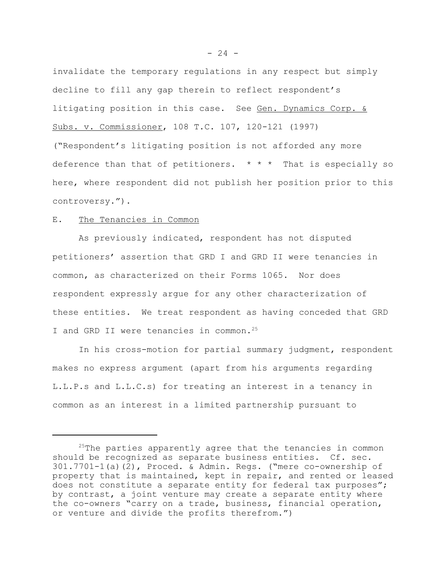invalidate the temporary regulations in any respect but simply decline to fill any gap therein to reflect respondent's litigating position in this case. See Gen. Dynamics Corp. & Subs. v. Commissioner, 108 T.C. 107, 120-121 (1997) ("Respondent's litigating position is not afforded any more deference than that of petitioners.  $* * *$  That is especially so here, where respondent did not publish her position prior to this controversy.").

## E. The Tenancies in Common

As previously indicated, respondent has not disputed petitioners' assertion that GRD I and GRD II were tenancies in common, as characterized on their Forms 1065. Nor does respondent expressly argue for any other characterization of these entities. We treat respondent as having conceded that GRD I and GRD II were tenancies in common.<sup>25</sup>

In his cross-motion for partial summary judgment, respondent makes no express argument (apart from his arguments regarding L.L.P.s and L.L.C.s) for treating an interest in a tenancy in common as an interest in a limited partnership pursuant to

<sup>&</sup>lt;sup>25</sup>The parties apparently agree that the tenancies in common should be recognized as separate business entities. Cf. sec. 301.7701-1(a)(2), Proced. & Admin. Regs. ("mere co-ownership of property that is maintained, kept in repair, and rented or leased does not constitute a separate entity for federal tax purposes"; by contrast, a joint venture may create a separate entity where the co-owners "carry on a trade, business, financial operation, or venture and divide the profits therefrom.")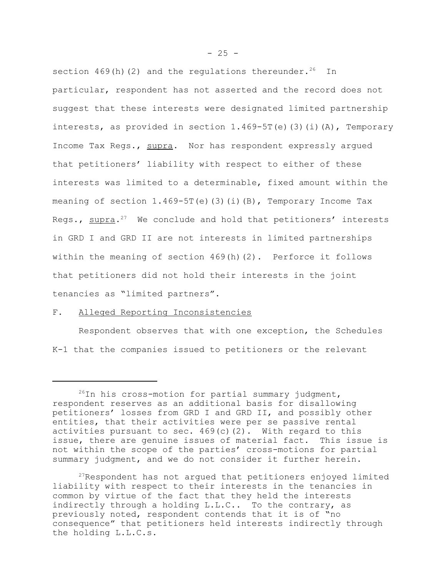section  $469(h)(2)$  and the regulations thereunder.<sup>26</sup> In particular, respondent has not asserted and the record does not suggest that these interests were designated limited partnership interests, as provided in section  $1.469 - 5T(e)$  (3)(i)(A), Temporary Income Tax Regs., supra. Nor has respondent expressly argued that petitioners' liability with respect to either of these interests was limited to a determinable, fixed amount within the meaning of section  $1.469-5T(e)$  (3)(i)(B), Temporary Income Tax Regs.,  $\text{supra.}^{27}$  We conclude and hold that petitioners' interests in GRD I and GRD II are not interests in limited partnerships within the meaning of section 469(h)(2). Perforce it follows that petitioners did not hold their interests in the joint tenancies as "limited partners".

# F. Alleged Reporting Inconsistencies

Respondent observes that with one exception, the Schedules K-1 that the companies issued to petitioners or the relevant

 $^{26}$ In his cross-motion for partial summary judgment, respondent reserves as an additional basis for disallowing petitioners' losses from GRD I and GRD II, and possibly other entities, that their activities were per se passive rental activities pursuant to sec.  $469(c)(2)$ . With regard to this issue, there are genuine issues of material fact. This issue is not within the scope of the parties' cross-motions for partial summary judgment, and we do not consider it further herein.

 $27$ Respondent has not argued that petitioners enjoyed limited liability with respect to their interests in the tenancies in common by virtue of the fact that they held the interests indirectly through a holding L.L.C.. To the contrary, as previously noted, respondent contends that it is of "no consequence" that petitioners held interests indirectly through the holding L.L.C.s.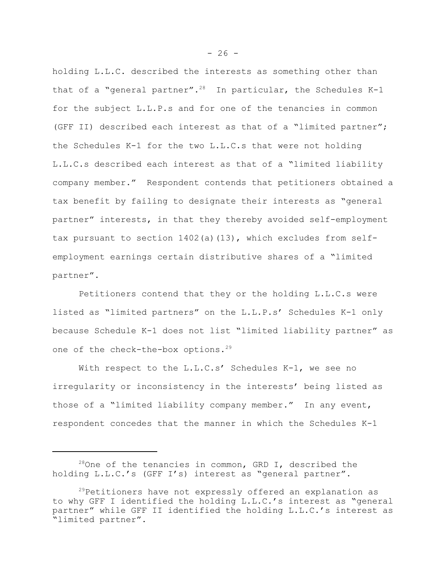holding L.L.C. described the interests as something other than that of a "general partner".<sup>28</sup> In particular, the Schedules K-1 for the subject L.L.P.s and for one of the tenancies in common (GFF II) described each interest as that of a "limited partner"; the Schedules K-1 for the two L.L.C.s that were not holding L.L.C.s described each interest as that of a "limited liability company member." Respondent contends that petitioners obtained a tax benefit by failing to designate their interests as "general partner" interests, in that they thereby avoided self-employment tax pursuant to section  $1402(a)(13)$ , which excludes from selfemployment earnings certain distributive shares of a "limited partner".

Petitioners contend that they or the holding L.L.C.s were listed as "limited partners" on the L.L.P.s' Schedules K-1 only because Schedule K-1 does not list "limited liability partner" as one of the check-the-box options.<sup>29</sup>

With respect to the L.L.C.s' Schedules K-1, we see no irregularity or inconsistency in the interests' being listed as those of a "limited liability company member." In any event, respondent concedes that the manner in which the Schedules K-1

 $28$ One of the tenancies in common, GRD I, described the holding L.L.C.'s (GFF I's) interest as "general partner".

<sup>&</sup>lt;sup>29</sup>Petitioners have not expressly offered an explanation as to why GFF I identified the holding L.L.C.'s interest as "general partner" while GFF II identified the holding L.L.C.'s interest as "limited partner".